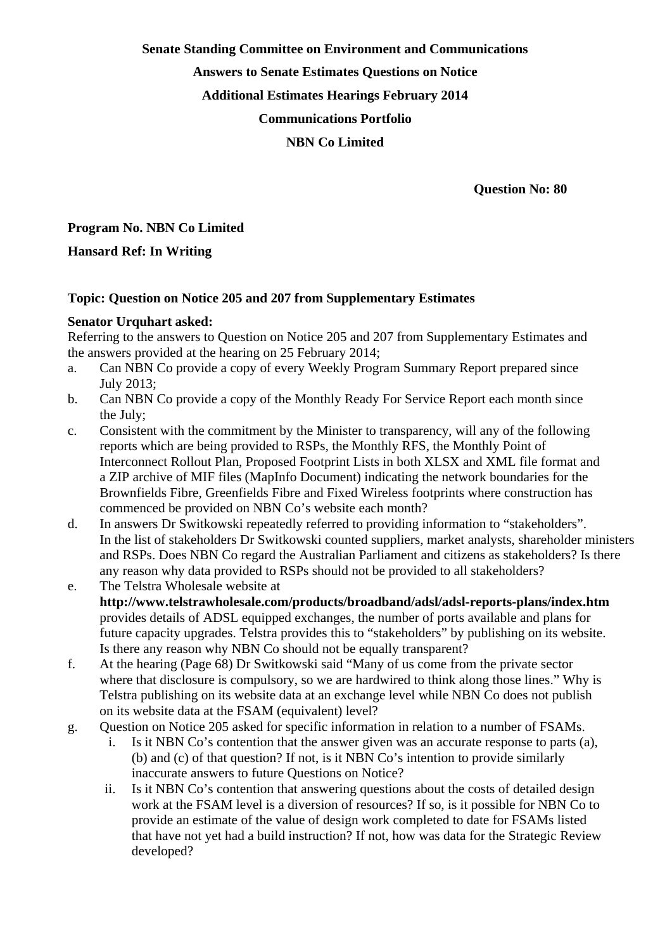**Senate Standing Committee on Environment and Communications** 

**Answers to Senate Estimates Questions on Notice** 

**Additional Estimates Hearings February 2014** 

**Communications Portfolio** 

#### **NBN Co Limited**

 **Question No: 80** 

# **Program No. NBN Co Limited**

## **Hansard Ref: In Writing**

### **Topic: Question on Notice 205 and 207 from Supplementary Estimates**

### **Senator Urquhart asked:**

Referring to the answers to Question on Notice 205 and 207 from Supplementary Estimates and the answers provided at the hearing on 25 February 2014;

- a. Can NBN Co provide a copy of every Weekly Program Summary Report prepared since July 2013;
- b. Can NBN Co provide a copy of the Monthly Ready For Service Report each month since the July;
- c. Consistent with the commitment by the Minister to transparency, will any of the following reports which are being provided to RSPs, the Monthly RFS, the Monthly Point of Interconnect Rollout Plan, Proposed Footprint Lists in both XLSX and XML file format and a ZIP archive of MIF files (MapInfo Document) indicating the network boundaries for the Brownfields Fibre, Greenfields Fibre and Fixed Wireless footprints where construction has commenced be provided on NBN Co's website each month?
- d. In answers Dr Switkowski repeatedly referred to providing information to "stakeholders". In the list of stakeholders Dr Switkowski counted suppliers, market analysts, shareholder ministers and RSPs. Does NBN Co regard the Australian Parliament and citizens as stakeholders? Is there any reason why data provided to RSPs should not be provided to all stakeholders?
- e. The Telstra Wholesale website at **http://www.telstrawholesale.com/products/broadband/adsl/adsl-reports-plans/index.htm** provides details of ADSL equipped exchanges, the number of ports available and plans for future capacity upgrades. Telstra provides this to "stakeholders" by publishing on its website. Is there any reason why NBN Co should not be equally transparent?
- f. At the hearing (Page 68) Dr Switkowski said "Many of us come from the private sector where that disclosure is compulsory, so we are hardwired to think along those lines." Why is Telstra publishing on its website data at an exchange level while NBN Co does not publish on its website data at the FSAM (equivalent) level?
- g. Question on Notice 205 asked for specific information in relation to a number of FSAMs.
	- i. Is it NBN Co's contention that the answer given was an accurate response to parts (a), (b) and (c) of that question? If not, is it NBN Co's intention to provide similarly inaccurate answers to future Questions on Notice?
	- ii. Is it NBN Co's contention that answering questions about the costs of detailed design work at the FSAM level is a diversion of resources? If so, is it possible for NBN Co to provide an estimate of the value of design work completed to date for FSAMs listed that have not yet had a build instruction? If not, how was data for the Strategic Review developed?